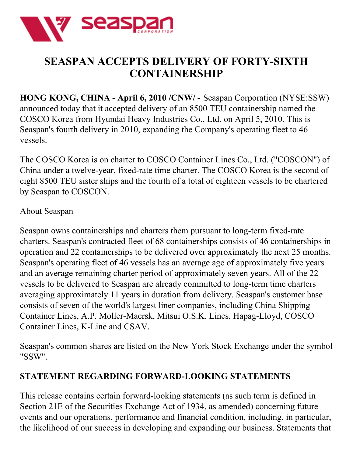

## **SEASPAN ACCEPTS DELIVERY OF FORTY-SIXTH CONTAINERSHIP**

**HONG KONG, CHINA - April 6, 2010 /CNW/ -** Seaspan Corporation (NYSE:SSW) announced today that it accepted delivery of an 8500 TEU containership named the COSCO Korea from Hyundai Heavy Industries Co., Ltd. on April 5, 2010. This is Seaspan's fourth delivery in 2010, expanding the Company's operating fleet to 46 vessels.

The COSCO Korea is on charter to COSCO Container Lines Co., Ltd. ("COSCON") of China under a twelve-year, fixed-rate time charter. The COSCO Korea is the second of eight 8500 TEU sister ships and the fourth of a total of eighteen vessels to be chartered by Seaspan to COSCON.

## About Seaspan

Seaspan owns containerships and charters them pursuant to long-term fixed-rate charters. Seaspan's contracted fleet of 68 containerships consists of 46 containerships in operation and 22 containerships to be delivered over approximately the next 25 months. Seaspan's operating fleet of 46 vessels has an average age of approximately five years and an average remaining charter period of approximately seven years. All of the 22 vessels to be delivered to Seaspan are already committed to long-term time charters averaging approximately 11 years in duration from delivery. Seaspan's customer base consists of seven of the world's largest liner companies, including China Shipping Container Lines, A.P. Moller-Maersk, Mitsui O.S.K. Lines, Hapag-Lloyd, COSCO Container Lines, K-Line and CSAV.

Seaspan's common shares are listed on the New York Stock Exchange under the symbol "SSW".

## **STATEMENT REGARDING FORWARD-LOOKING STATEMENTS**

This release contains certain forward-looking statements (as such term is defined in Section 21E of the Securities Exchange Act of 1934, as amended) concerning future events and our operations, performance and financial condition, including, in particular, the likelihood of our success in developing and expanding our business. Statements that